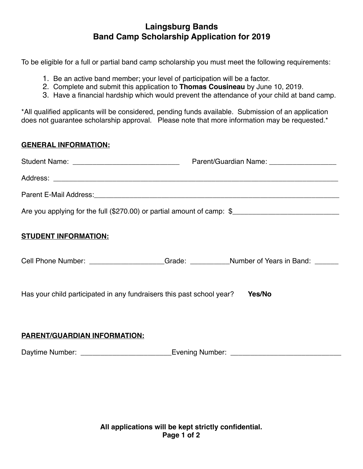## **Laingsburg Bands Band Camp Scholarship Application for 2019**

To be eligible for a full or partial band camp scholarship you must meet the following requirements:

- 1. Be an active band member; your level of participation will be a factor.
- 2. Complete and submit this application to **Thomas Cousineau** by June 10, 2019.
- 3. Have a financial hardship which would prevent the attendance of your child at band camp.

\*All qualified applicants will be considered, pending funds available. Submission of an application does not guarantee scholarship approval. Please note that more information may be requested.\*

#### **GENERAL INFORMATION:**

|                                                                        | Parent/Guardian Name: ____________________ |
|------------------------------------------------------------------------|--------------------------------------------|
|                                                                        |                                            |
|                                                                        |                                            |
| Are you applying for the full (\$270.00) or partial amount of camp: \$ |                                            |
| <b>STUDENT INFORMATION:</b>                                            |                                            |

Cell Phone Number: <br>
Cell Phone Number: 
Grade: **Cell Phone Number**:

Has your child participated in any fundraisers this past school year? **Yes/No**

### **PARENT/GUARDIAN INFORMATION:**

Daytime Number: \_\_\_\_\_\_\_\_\_\_\_\_\_\_\_\_\_\_\_\_\_\_\_Evening Number: \_\_\_\_\_\_\_\_\_\_\_\_\_\_\_\_\_\_\_\_\_\_\_\_\_\_\_\_

**All applications will be kept strictly confidential. Page 1 of 2**